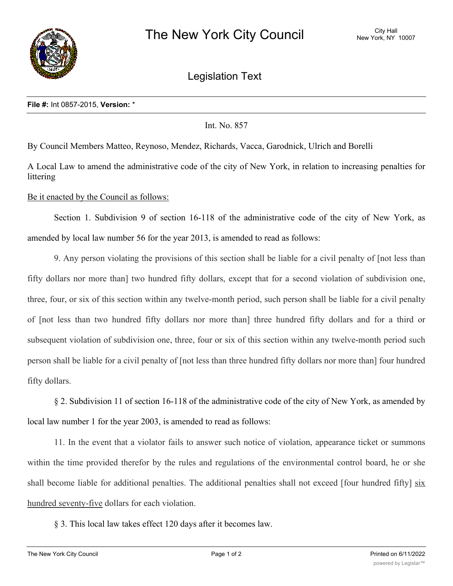

Legislation Text

## **File #:** Int 0857-2015, **Version:** \*

## Int. No. 857

By Council Members Matteo, Reynoso, Mendez, Richards, Vacca, Garodnick, Ulrich and Borelli

A Local Law to amend the administrative code of the city of New York, in relation to increasing penalties for littering

Be it enacted by the Council as follows:

Section 1. Subdivision 9 of section 16-118 of the administrative code of the city of New York, as amended by local law number 56 for the year 2013, is amended to read as follows:

9. Any person violating the provisions of this section shall be liable for a civil penalty of [not less than fifty dollars nor more than] two hundred fifty dollars, except that for a second violation of subdivision one, three, four, or six of this section within any twelve-month period, such person shall be liable for a civil penalty of [not less than two hundred fifty dollars nor more than] three hundred fifty dollars and for a third or subsequent violation of subdivision one, three, four or six of this section within any twelve-month period such person shall be liable for a civil penalty of [not less than three hundred fifty dollars nor more than] four hundred fifty dollars.

§ 2. Subdivision 11 of section 16-118 of the administrative code of the city of New York, as amended by local law number 1 for the year 2003, is amended to read as follows:

11. In the event that a violator fails to answer such notice of violation, appearance ticket or summons within the time provided therefor by the rules and regulations of the environmental control board, he or she shall become liable for additional penalties. The additional penalties shall not exceed [four hundred fifty]  $\frac{\sin x}{\sin x}$ hundred seventy-five dollars for each violation.

§ 3. This local law takes effect 120 days after it becomes law.